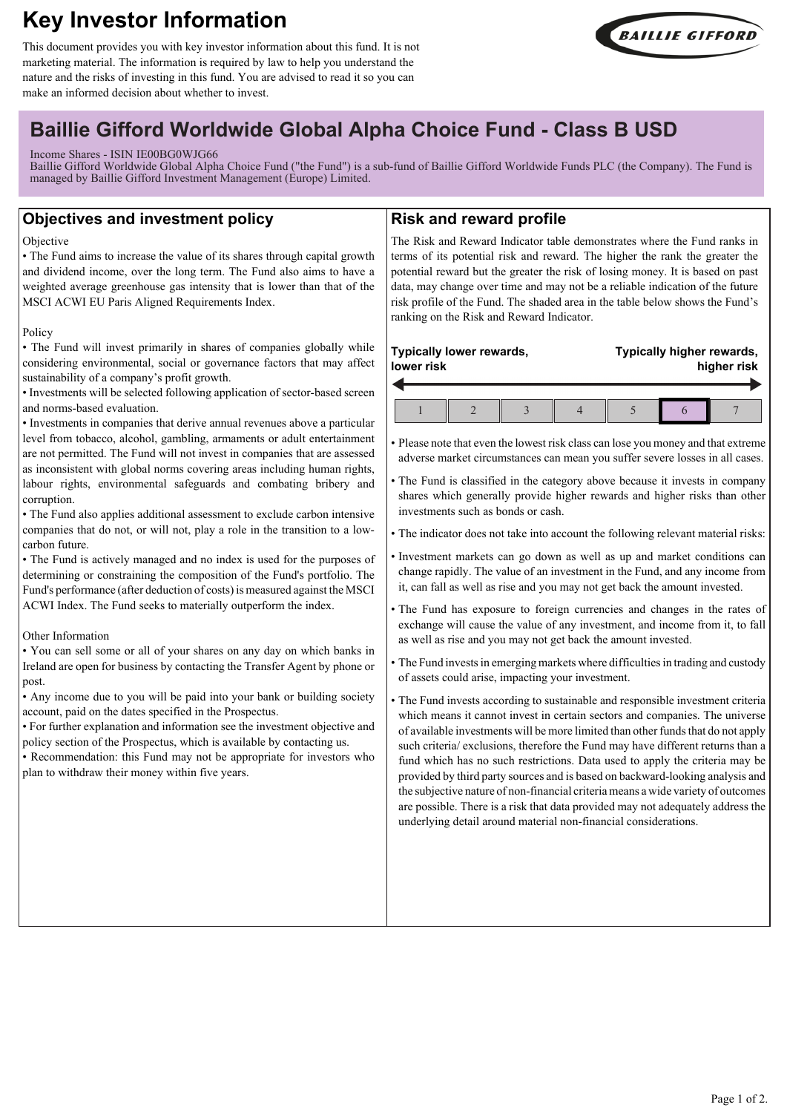# **Key Investor Information**

This document provides you with key investor information about this fund. It is not marketing material. The information is required by law to help you understand the nature and the risks of investing in this fund. You are advised to read it so you can make an informed decision about whether to invest.



## **Baillie Gifford Worldwide Global Alpha Choice Fund - Class B USD**

## Income Shares - ISIN IE00BG0WJG66

Baillie Gifford Worldwide Global Alpha Choice Fund ("the Fund") is a sub-fund of Baillie Gifford Worldwide Funds PLC (the Company). The Fund is managed by Baillie Gifford Investment Management (Europe) Limited.

## **Objectives and investment policy**

#### **Objective**

• The Fund aims to increase the value of its shares through capital growth and dividend income, over the long term. The Fund also aims to have a weighted average greenhouse gas intensity that is lower than that of the MSCI ACWI EU Paris Aligned Requirements Index.

#### Policy

• The Fund will invest primarily in shares of companies globally while considering environmental, social or governance factors that may affect sustainability of a company's profit growth.

• Investments will be selected following application of sector-based screen and norms-based evaluation.

• Investments in companies that derive annual revenues above a particular level from tobacco, alcohol, gambling, armaments or adult entertainment are not permitted. The Fund will not invest in companies that are assessed as inconsistent with global norms covering areas including human rights, labour rights, environmental safeguards and combating bribery and corruption.

• The Fund also applies additional assessment to exclude carbon intensive companies that do not, or will not, play a role in the transition to a lowcarbon future.

• The Fund is actively managed and no index is used for the purposes of determining or constraining the composition of the Fund's portfolio. The Fund's performance (after deduction of costs) is measured against the MSCI ACWI Index. The Fund seeks to materially outperform the index.

#### Other Information

• You can sell some or all of your shares on any day on which banks in Ireland are open for business by contacting the Transfer Agent by phone or post.

• Any income due to you will be paid into your bank or building society account, paid on the dates specified in the Prospectus.

• For further explanation and information see the investment objective and policy section of the Prospectus, which is available by contacting us.

• Recommendation: this Fund may not be appropriate for investors who plan to withdraw their money within five years.

## **Risk and reward profile**

The Risk and Reward Indicator table demonstrates where the Fund ranks in terms of its potential risk and reward. The higher the rank the greater the potential reward but the greater the risk of losing money. It is based on past data, may change over time and may not be a reliable indication of the future risk profile of the Fund. The shaded area in the table below shows the Fund's ranking on the Risk and Reward Indicator.

#### **Typically lower rewards, lower risk**  $\overline{\phantom{a}}$

**Typically higher rewards, higher risk**

• Please note that even the lowest risk class can lose you money and that extreme adverse market circumstances can mean you suffer severe losses in all cases.

• The Fund is classified in the category above because it invests in company shares which generally provide higher rewards and higher risks than other investments such as bonds or cash.

• The indicator does not take into account the following relevant material risks:

- Investment markets can go down as well as up and market conditions can change rapidly. The value of an investment in the Fund, and any income from it, can fall as well as rise and you may not get back the amount invested.
- The Fund has exposure to foreign currencies and changes in the rates of exchange will cause the value of any investment, and income from it, to fall as well as rise and you may not get back the amount invested.
- The Fund invests in emerging markets where difficulties in trading and custody of assets could arise, impacting your investment.

• The Fund invests according to sustainable and responsible investment criteria which means it cannot invest in certain sectors and companies. The universe of available investments will be more limited than other funds that do not apply such criteria/ exclusions, therefore the Fund may have different returns than a fund which has no such restrictions. Data used to apply the criteria may be provided by third party sources and is based on backward-looking analysis and the subjective nature of non-financial criteria means a wide variety of outcomes are possible. There is a risk that data provided may not adequately address the underlying detail around material non-financial considerations.